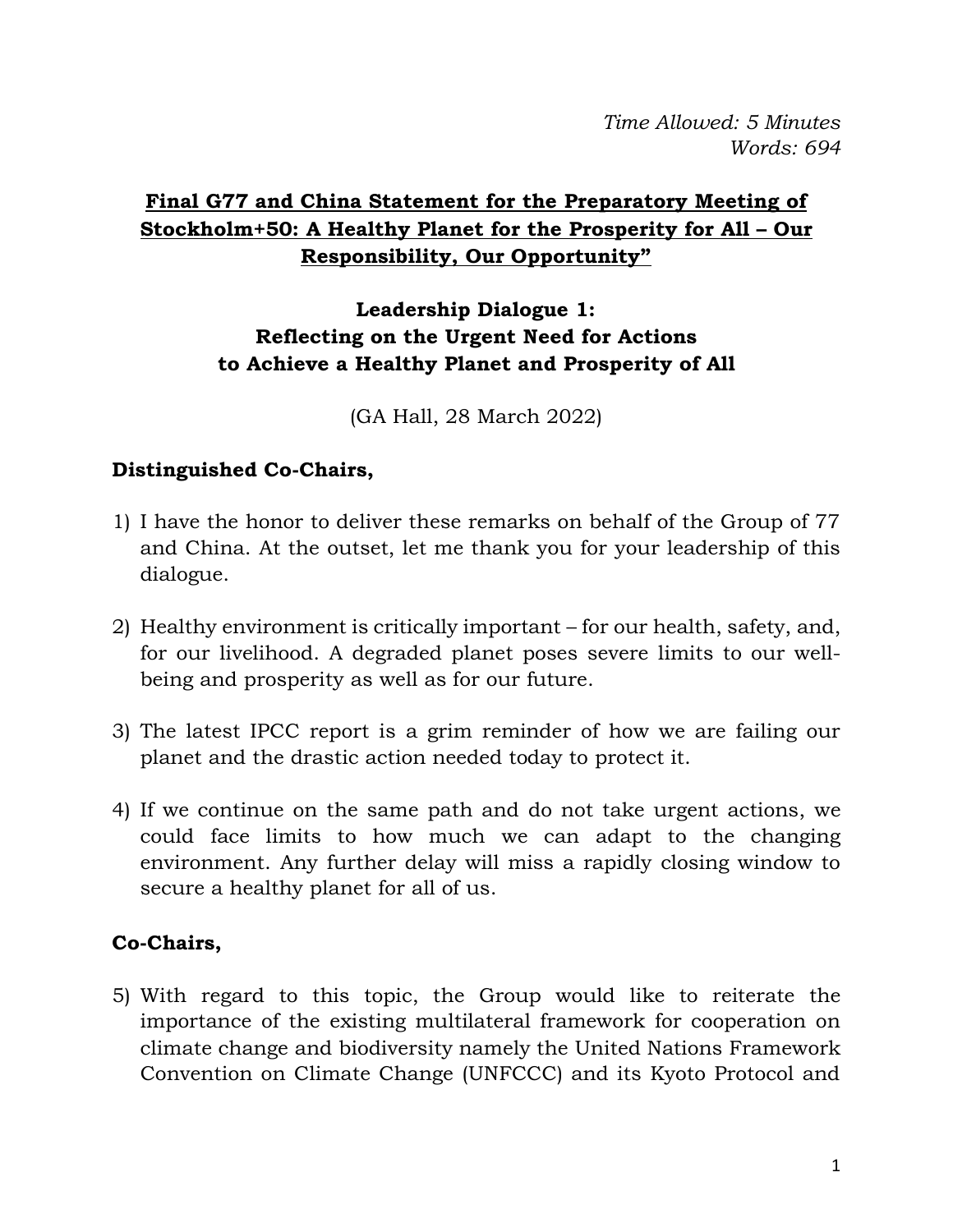*Time Allowed: 5 Minutes Words: 694*

## **Final G77 and China Statement for the Preparatory Meeting of Stockholm+50: A Healthy Planet for the Prosperity for All – Our Responsibility, Our Opportunity"**

### **Leadership Dialogue 1: Reflecting on the Urgent Need for Actions to Achieve a Healthy Planet and Prosperity of All**

(GA Hall, 28 March 2022)

#### **Distinguished Co-Chairs,**

- 1) I have the honor to deliver these remarks on behalf of the Group of 77 and China. At the outset, let me thank you for your leadership of this dialogue.
- 2) Healthy environment is critically important for our health, safety, and, for our livelihood. A degraded planet poses severe limits to our wellbeing and prosperity as well as for our future.
- 3) The latest IPCC report is a grim reminder of how we are failing our planet and the drastic action needed today to protect it.
- 4) If we continue on the same path and do not take urgent actions, we could face limits to how much we can adapt to the changing environment. Any further delay will miss a rapidly closing window to secure a healthy planet for all of us.

### **Co-Chairs,**

5) With regard to this topic, the Group would like to reiterate the importance of the existing multilateral framework for cooperation on climate change and biodiversity namely the United Nations Framework Convention on Climate Change (UNFCCC) and its Kyoto Protocol and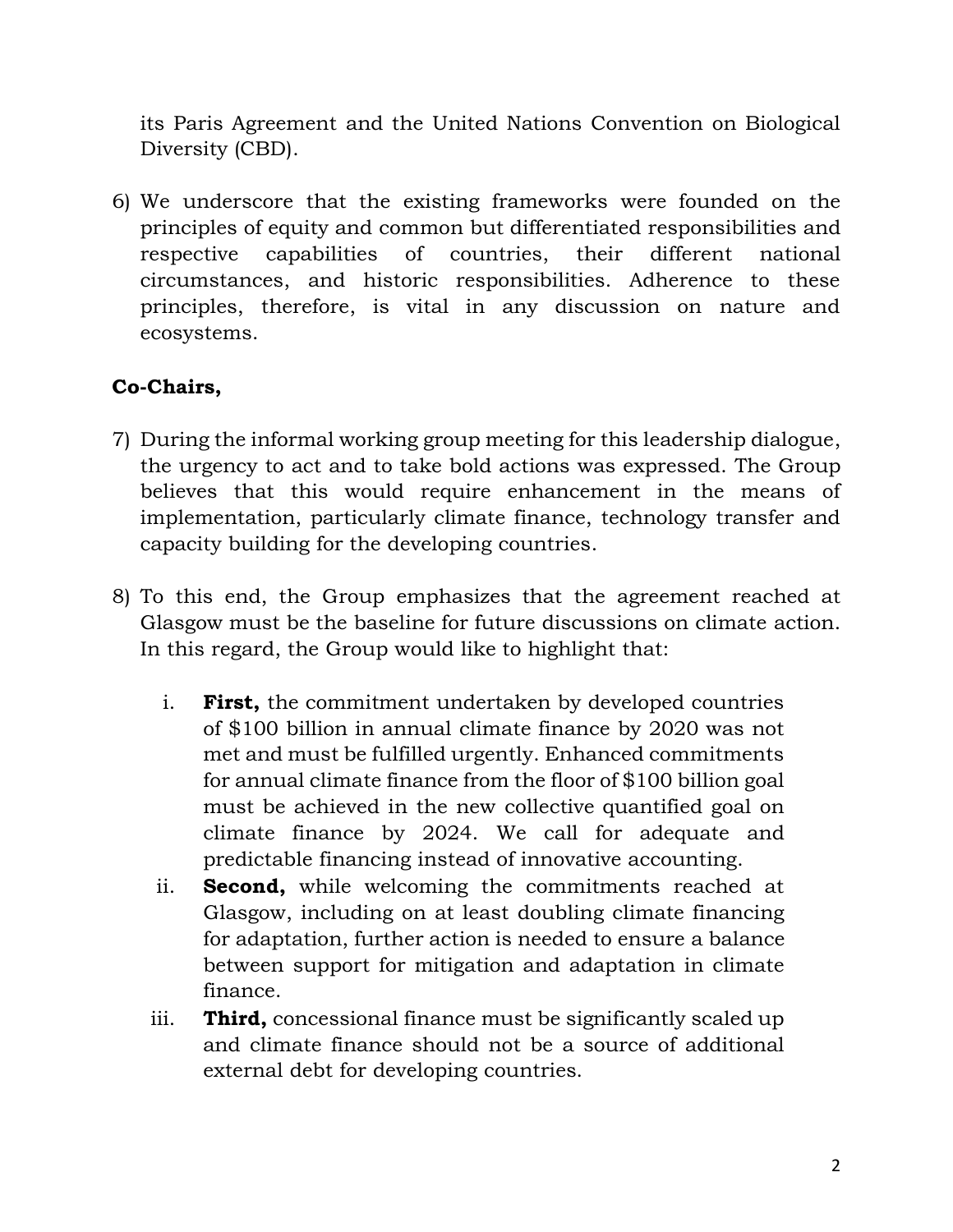its Paris Agreement and the United Nations Convention on Biological Diversity (CBD).

6) We underscore that the existing frameworks were founded on the principles of equity and common but differentiated responsibilities and respective capabilities of countries, their different national circumstances, and historic responsibilities. Adherence to these principles, therefore, is vital in any discussion on nature and ecosystems.

### **Co-Chairs,**

- 7) During the informal working group meeting for this leadership dialogue, the urgency to act and to take bold actions was expressed. The Group believes that this would require enhancement in the means of implementation, particularly climate finance, technology transfer and capacity building for the developing countries.
- 8) To this end, the Group emphasizes that the agreement reached at Glasgow must be the baseline for future discussions on climate action. In this regard, the Group would like to highlight that:
	- i. **First,** the commitment undertaken by developed countries of \$100 billion in annual climate finance by 2020 was not met and must be fulfilled urgently. Enhanced commitments for annual climate finance from the floor of \$100 billion goal must be achieved in the new collective quantified goal on climate finance by 2024. We call for adequate and predictable financing instead of innovative accounting.
	- ii. **Second,** while welcoming the commitments reached at Glasgow, including on at least doubling climate financing for adaptation, further action is needed to ensure a balance between support for mitigation and adaptation in climate finance.
	- iii. **Third,** concessional finance must be significantly scaled up and climate finance should not be a source of additional external debt for developing countries.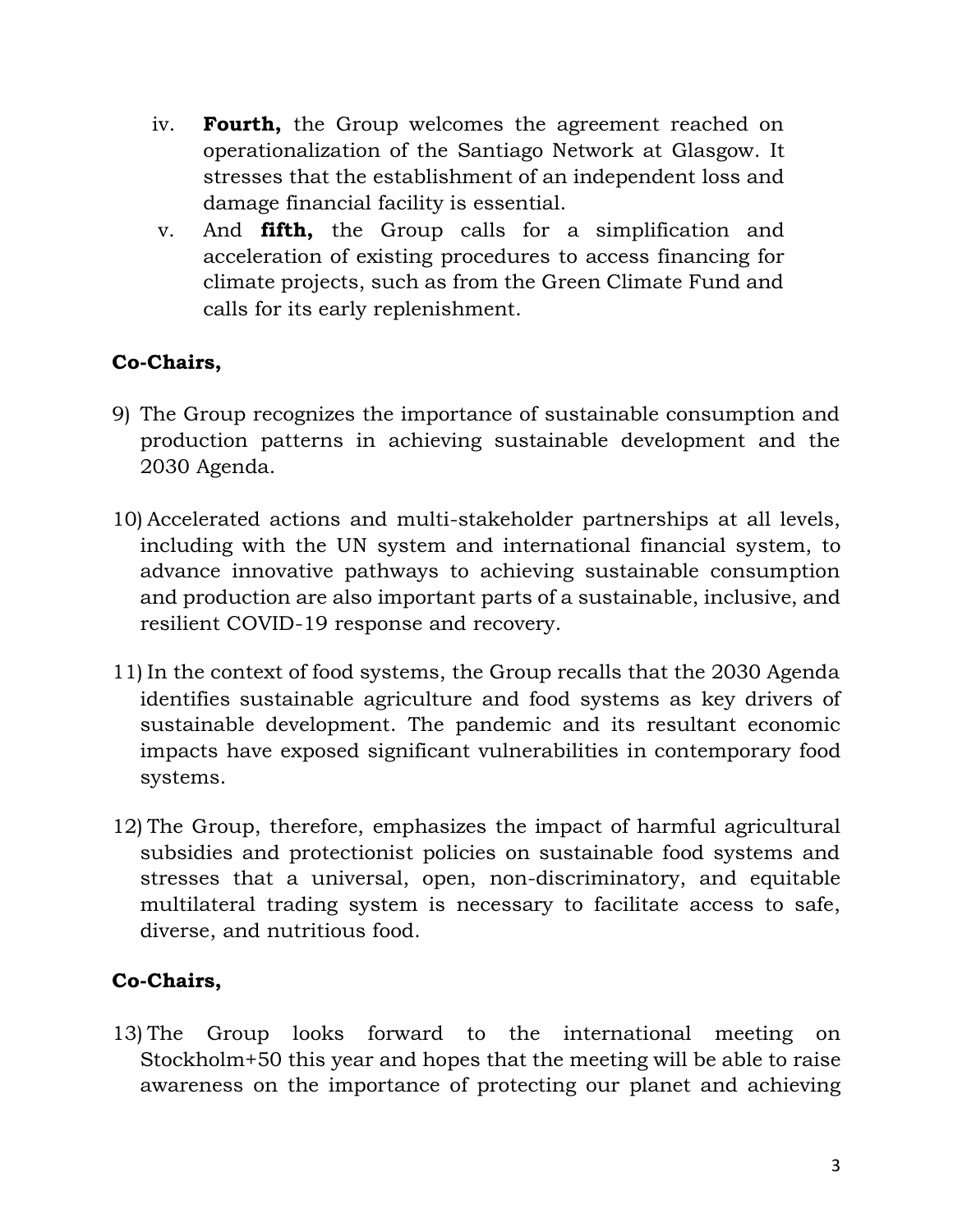- iv. **Fourth,** the Group welcomes the agreement reached on operationalization of the Santiago Network at Glasgow. It stresses that the establishment of an independent loss and damage financial facility is essential.
- v. And **fifth,** the Group calls for a simplification and acceleration of existing procedures to access financing for climate projects, such as from the Green Climate Fund and calls for its early replenishment.

# **Co-Chairs,**

- 9) The Group recognizes the importance of sustainable consumption and production patterns in achieving sustainable development and the 2030 Agenda.
- 10) Accelerated actions and multi-stakeholder partnerships at all levels, including with the UN system and international financial system, to advance innovative pathways to achieving sustainable consumption and production are also important parts of a sustainable, inclusive, and resilient COVID-19 response and recovery.
- 11) In the context of food systems, the Group recalls that the 2030 Agenda identifies sustainable agriculture and food systems as key drivers of sustainable development. The pandemic and its resultant economic impacts have exposed significant vulnerabilities in contemporary food systems.
- 12) The Group, therefore, emphasizes the impact of harmful agricultural subsidies and protectionist policies on sustainable food systems and stresses that a universal, open, non-discriminatory, and equitable multilateral trading system is necessary to facilitate access to safe, diverse, and nutritious food.

### **Co-Chairs,**

13) The Group looks forward to the international meeting on Stockholm+50 this year and hopes that the meeting will be able to raise awareness on the importance of protecting our planet and achieving